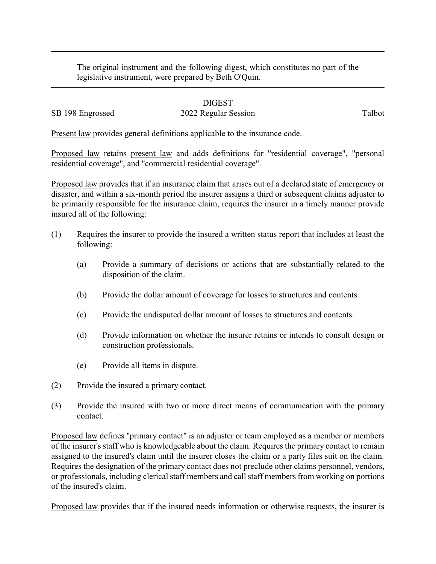The original instrument and the following digest, which constitutes no part of the legislative instrument, were prepared by Beth O'Quin.

## DIGEST

## SB 198 Engrossed 2022 Regular Session Talbot

Present law provides general definitions applicable to the insurance code.

Proposed law retains present law and adds definitions for "residential coverage", "personal residential coverage", and "commercial residential coverage".

Proposed law provides that if an insurance claim that arises out of a declared state of emergency or disaster, and within a six-month period the insurer assigns a third or subsequent claims adjuster to be primarily responsible for the insurance claim, requires the insurer in a timely manner provide insured all of the following:

- (1) Requires the insurer to provide the insured a written status report that includes at least the following:
	- (a) Provide a summary of decisions or actions that are substantially related to the disposition of the claim.
	- (b) Provide the dollar amount of coverage for losses to structures and contents.
	- (c) Provide the undisputed dollar amount of losses to structures and contents.
	- (d) Provide information on whether the insurer retains or intends to consult design or construction professionals.
	- (e) Provide all items in dispute.
- (2) Provide the insured a primary contact.
- (3) Provide the insured with two or more direct means of communication with the primary contact.

Proposed law defines "primary contact" is an adjuster or team employed as a member or members of the insurer's staff who is knowledgeable about the claim. Requires the primary contact to remain assigned to the insured's claim until the insurer closes the claim or a party files suit on the claim. Requires the designation of the primary contact does not preclude other claims personnel, vendors, or professionals, including clerical staff members and call staff members from working on portions of the insured's claim.

Proposed law provides that if the insured needs information or otherwise requests, the insurer is